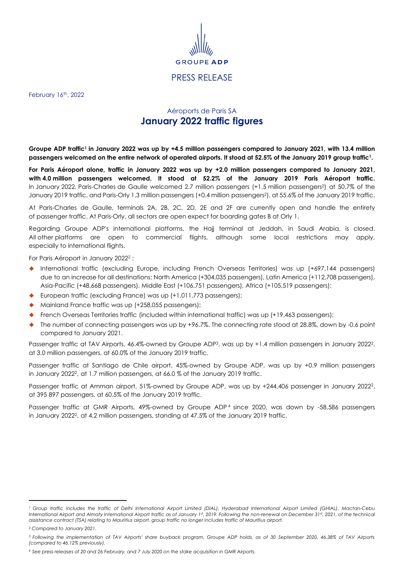

<span id="page-0-1"></span>PRESS RELEASE

February 16<sup>th</sup>, 2022

## Aéroports de Paris SA **January 2022 traffic figures**

<span id="page-0-0"></span>Groupe ADP traffic<sup>1</sup> in January 2022 was up by +4.5 million passengers compared to January 2021, with 13.4 million passengers wel[c](#page-0-0)omed on the entire network of operated airports. It stood at 52.5% of the January 2019 group traffic1.

For Paris Aéroport alone, traffic in January 2022 was up by +2.0 million passengers compared to January 2021, **with 4.0 million passengers welcomed. It stood at 52.2% of the January 2019 Paris Aéroport traffic.** In January 2022, Paris-Charles de Gaulle welcomed 2.7 million passengers (+1.5 million passengers<sup>2</sup> ), at 50.7% of the January 2019 traffic, and Pari[s](#page-0-1)-Orly 1.3 million passengers (+0.4 million passengers<sup>2</sup>), at 55.6% of the January 2019 traffic.

At Paris-Charles de Gaulle, terminals 2A, 2B, 2C, 2D, 2E and 2F are currently open and handle the entirety of passenger traffic. At Paris-Orly, all sectors are open expect for boarding gates B at Orly 1.

Regarding Groupe ADP's international platforms, the Hajj terminal at Jeddah, in Saudi Arabia, is closed. All other platforms are open to commercial flights, although some local restrictions may apply, especially to international flights.

For Paris Aéroport in January [2](#page-0-1)022<sup>2</sup>:

- ◆ International traffic (excluding Europe, including French Overseas Territories) was up (+697,144 passengers) due to an increase for all destinations: North America (+304,035 passengers), Latin America (+112,708 passengers), Asia-Pacific (+48,668 passengers), Middle East (+106,751 passengers), Africa (+105,519 passengers);
- ◆ European traffic (excluding France) was up (+1,011,773 passengers);
- ◆ Mainland France traffic was up (+258,055 passengers);
- French Overseas Territories traffic (included within international traffic) was up (+19,463 passengers);
- The number of connecting passengers was up by +96.7%. The connecting rate stood at 28.8%, down by -0.6 point compared to January 2021.

Passenger traffic at TAV Airports, 46.4%-owned by Groupe ADP<sup>3</sup>, was up by +1.4 million passengers in January [2](#page-0-1)022<sup>2</sup>, at 3.0 million passengers, at 60.0% of the January 2019 traffic.

Passenger traffic at Santiago de Chile airport, 45%-owned by Groupe ADP, was up by +0.9 million passengers in January 2022<sup>2</sup> [,](#page-0-1) at 1.7 million passengers, at 66.0 % of the January 2019 traffic.

Passenger traffic at Amman airport, 51%-owned by Groupe ADP, was up by +[2](#page-0-1)44,406 passenger in January 2022<sup>2</sup>, at 395 897 passengers, at 60.5% of the January 2019 traffic.

Passenger traffic at GMR Airports, 49%-owned by Groupe ADP<sup>4</sup> since 2020, was down by -58,586 passengers in January 2022<sup>2</sup>[,](#page-0-1) at 4.2 million passengers, standing at 47.5% of the January 2019 traffic.

*<sup>1</sup> Group traffic includes the traffic of Delhi International Airport Limited (DIAL), Hyderabad International Airport Limited (GHIAL), Mactan-Cebu International Airport and Almaty International Airport traffic as of January 1st, 2019. Following the non-renewal on December 31st, 2021, of the technical assistance contract (TSA) relating to Mauritius airport, group traffic no longer includes traffic of Mauritius airport.*

*<sup>2</sup> Compared to January 2021.*

*<sup>3</sup> Following the implementation of TAV Airports' share buyback program, Groupe ADP holds, as of 30 September 2020, 46.38% of TAV Airports (compared to 46.12% previously).*

*<sup>4</sup> See press releases of 20 and 26 February, and 7 July 2020 on the stake acquisition in GMR Airports.*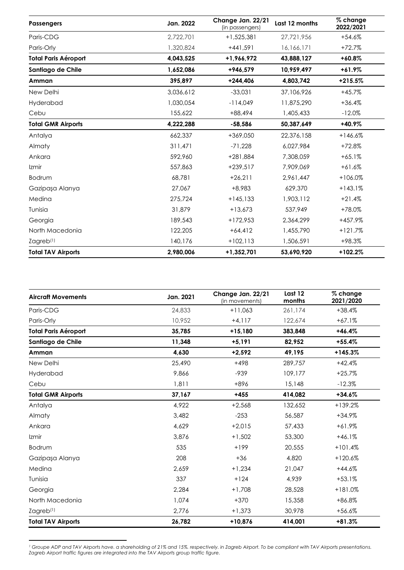| <b>Passengers</b>           | Jan. 2022 | Change Jan. 22/21<br>(in passengers) | Last 12 months | % change<br>2022/2021 |
|-----------------------------|-----------|--------------------------------------|----------------|-----------------------|
| Paris-CDG                   | 2,722,701 | $+1,525,381$                         | 27,721,956     | $+54.6%$              |
| Paris-Orly                  | 1,320,824 | $+441,591$                           | 16,166,171     | $+72.7%$              |
| <b>Total Paris Aéroport</b> | 4,043,525 | +1,966,972                           | 43,888,127     | $+60.8\%$             |
| Santiago de Chile           | 1,652,086 | +946,579                             | 10,959,497     | $+61.9%$              |
| Amman                       | 395,897   | $+244,406$                           | 4,803,742      | $+215.5%$             |
| New Delhi                   | 3,036,612 | $-33,031$                            | 37,106,926     | $+45.7%$              |
| Hyderabad                   | 1,030,054 | $-114,049$                           | 11,875,290     | $+36.4%$              |
| Cebu                        | 155,622   | $+88,494$                            | 1,405,433      | $-12.0%$              |
| <b>Total GMR Airports</b>   | 4,222,288 | $-58,586$                            | 50,387,649     | +40.9%                |
| Antalya                     | 662,337   | $+369.050$                           | 22,376,158     | $+146.6%$             |
| Almaty                      | 311,471   | $-71.228$                            | 6,027,984      | $+72.8%$              |
| Ankara                      | 592,960   | $+281,884$                           | 7,308,059      | $+65.1%$              |
| Izmir                       | 557,863   | $+239,517$                           | 7,909,069      | $+61.6%$              |
| <b>Bodrum</b>               | 68,781    | $+26,211$                            | 2,961,447      | $+106.0%$             |
| Gazipaşa Alanya             | 27,067    | +8,983                               | 629,370        | $+143.1%$             |
| Medina                      | 275,724   | $+145,133$                           | 1,903,112      | $+21.4%$              |
| Tunisia                     | 31,879    | $+13,673$                            | 537,949        | +78.0%                |
| Georgia                     | 189,543   | $+172,953$                           | 2,364,299      | +457.9%               |
| North Macedonia             | 122,205   | $+64,412$                            | 1,455,790      | $+121.7%$             |
| $Z$ agreb $(1)$             | 140,176   | $+102,113$                           | 1,506,591      | +98.3%                |
| <b>Total TAV Airports</b>   | 2,980,006 | +1,352,701                           | 53,690,920     | +102.2%               |

| <b>Aircraft Movements</b>   | Jan. 2021 | Change Jan. 22/21<br>(in movements) | Last 12<br>months | % change<br>2021/2020 |
|-----------------------------|-----------|-------------------------------------|-------------------|-----------------------|
| Paris-CDG                   | 24,833    | $+11,063$                           | 261,174           | $+38.4%$              |
| Paris-Orly                  | 10,952    | $+4,117$                            | 122,674           | $+67.1%$              |
| <b>Total Paris Aéroport</b> | 35,785    | $+15,180$                           | 383,848           | $+46.4%$              |
| Santiago de Chile           | 11,348    | $+5,191$                            | 82,952            | $+55.4%$              |
| Amman                       | 4,630     | $+2,592$                            | 49,195            | +145.3%               |
| New Delhi                   | 25,490    | $+498$                              | 289,757           | $+42.4%$              |
| Hyderabad                   | 9,866     | $-939$                              | 109,177           | $+25.7%$              |
| Cebu                        | 1,811     | +896                                | 15,148            | $-12.3%$              |
| <b>Total GMR Airports</b>   | 37,167    | $+455$                              | 414,082           | $+34.6%$              |
| Antalya                     | 4,922     | $+2,568$                            | 132,652           | $+139.2%$             |
| Almaty                      | 3,482     | $-253$                              | 56,587            | $+34.9%$              |
| Ankara                      | 4,629     | $+2,015$                            | 57,433            | $+61.9%$              |
| Izmir                       | 3,876     | $+1,502$                            | 53,300            | $+46.1%$              |
| Bodrum                      | 535       | $+199$                              | 20,555            | $+101.4%$             |
| Gazipaşa Alanya             | 208       | $+36$                               | 4,820             | $+120.6%$             |
| Medina                      | 2,659     | $+1,234$                            | 21,047            | $+44.6%$              |
| Tunisia                     | 337       | $+124$                              | 4,939             | $+53.1%$              |
| Georgia                     | 2,284     | $+1,708$                            | 28,528            | $+181.0%$             |
| North Macedonia             | 1.074     | $+370$                              | 15,358            | +86.8%                |
| $Z$ agreb $(1)$             | 2,776     | $+1,373$                            | 30,978            | $+56.6%$              |
| <b>Total TAV Airports</b>   | 26,782    | +10,876                             | 414,001           | +81.3%                |

*<sup>1</sup> Groupe ADP and TAV Airports have. a shareholding of 21% and 15%. respectively. in Zagreb Airport. To be compliant with TAV Airports presentations. Zagreb Airport traffic figures are integrated into the TAV Airports group traffic figure.*